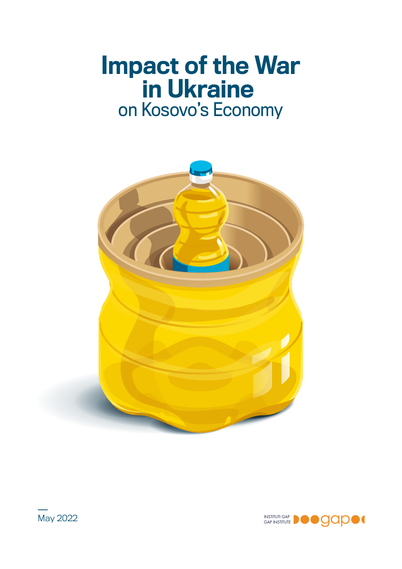# Impact of the War in Ukraine on Kosovo's Economy



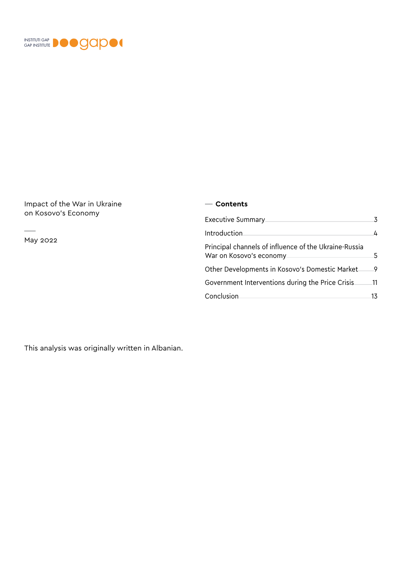

Impact of the War in Ukraine on Kosovo's Economy

May 2022

 $\sim$ 

#### **Contents**

| Executive Summary                                                                |     |
|----------------------------------------------------------------------------------|-----|
| Introduction                                                                     | 4   |
| Principal channels of influence of the Ukraine-Russia<br>War on Kosovo's economy | 5.  |
| Other Developments in Kosovo's Domestic Market                                   | 9   |
| Government Interventions during the Price Crisis                                 | .11 |
| Conclusion                                                                       | 13  |

This analysis was originally written in Albanian.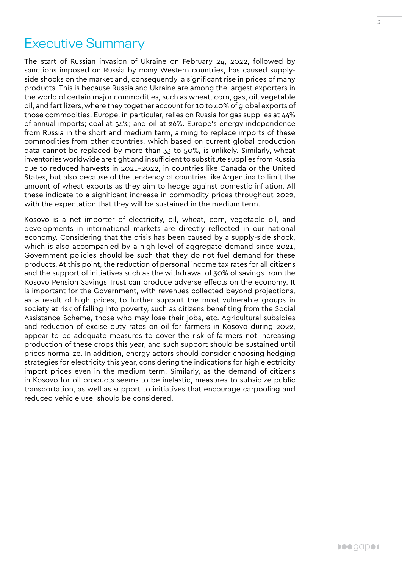### <span id="page-2-0"></span>Executive Summary

The start of Russian invasion of Ukraine on February 24, 2022, followed by sanctions imposed on Russia by many Western countries, has caused supplyside shocks on the market and, consequently, a significant rise in prices of many products. This is because Russia and Ukraine are among the largest exporters in the world of certain major commodities, such as wheat, corn, gas, oil, vegetable oil, and fertilizers, where they together account for 10 to 40% of global exports of those commodities. Europe, in particular, relies on Russia for gas supplies at 44% of annual imports; coal at 54%; and oil at 26%. Europe's energy independence from Russia in the short and medium term, aiming to replace imports of these commodities from other countries, which based on current global production data cannot be replaced by more than 33 to 50%, is unlikely. Similarly, wheat inventories worldwide are tight and insufficient to substitute supplies from Russia due to reduced harvests in 2021-2022, in countries like Canada or the United States, but also because of the tendency of countries like Argentina to limit the amount of wheat exports as they aim to hedge against domestic inflation. All these indicate to a significant increase in commodity prices throughout 2022, with the expectation that they will be sustained in the medium term.

Kosovo is a net importer of electricity, oil, wheat, corn, vegetable oil, and developments in international markets are directly reflected in our national economy. Considering that the crisis has been caused by a supply-side shock, which is also accompanied by a high level of aggregate demand since 2021, Government policies should be such that they do not fuel demand for these products. At this point, the reduction of personal income tax rates for all citizens and the support of initiatives such as the withdrawal of 30% of savings from the Kosovo Pension Savings Trust can produce adverse effects on the economy. It is important for the Government, with revenues collected beyond projections, as a result of high prices, to further support the most vulnerable groups in society at risk of falling into poverty, such as citizens benefiting from the Social Assistance Scheme, those who may lose their jobs, etc. Agricultural subsidies and reduction of excise duty rates on oil for farmers in Kosovo during 2022, appear to be adequate measures to cover the risk of farmers not increasing production of these crops this year, and such support should be sustained until prices normalize. In addition, energy actors should consider choosing hedging strategies for electricity this year, considering the indications for high electricity import prices even in the medium term. Similarly, as the demand of citizens in Kosovo for oil products seems to be inelastic, measures to subsidize public transportation, as well as support to initiatives that encourage carpooling and reduced vehicle use, should be considered.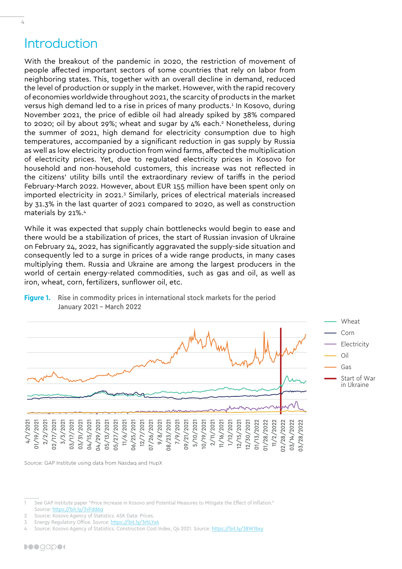### Introduction

<span id="page-3-0"></span> $\frac{1}{4}$ 

With the breakout of the pandemic in 2020, the restriction of movement of people affected important sectors of some countries that rely on labor from neighboring states. This, together with an overall decline in demand, reduced the level of production or supply in the market. However, with the rapid recovery of economies worldwide throughout 2021, the scarcity of products in the market versus high demand led to a rise in prices of many products.<sup>1</sup> In Kosovo, during November 2021, the price of edible oil had already spiked by 38% compared to 2020; oil by about 29%; wheat and sugar by 4% each.<sup>2</sup> Nonetheless, during the summer of 2021, high demand for electricity consumption due to high temperatures, accompanied by a significant reduction in gas supply by Russia as well as low electricity production from wind farms, affected the multiplication of electricity prices. Yet, due to regulated electricity prices in Kosovo for household and non-household customers, this increase was not reflected in the citizens' utility bills until the extraordinary review of tariffs in the period February-March 2022. However, about EUR 155 million have been spent only on imported electricity in 2021.<sup>3</sup> Similarly, prices of electrical materials increased by 31.3% in the last quarter of 2021 compared to 2020, as well as construction materials by 21%.4

While it was expected that supply chain bottlenecks would begin to ease and there would be a stabilization of prices, the start of Russian invasion of Ukraine on February 24, 2022, has significantly aggravated the supply-side situation and consequently led to a surge in prices of a wide range products, in many cases multiplying them. Russia and Ukraine are among the largest producers in the world of certain energy-related commodities, such as gas and oil, as well as iron, wheat, corn, fertilizers, sunflower oil, etc.



#### **Figure 1.** Rise in commodity prices in international stock markets for the period January 2021 – March 2022

Source: GAP Institute using data from Nasdaq and HupX

See GAP Institute paper "Price Increase in Kosovo and Potential Measures to Mitigate the Effect of Inflation." Source: <https://bit.ly/3vFdd6q>

<sup>2</sup> Source: Kosovo Agency of Statistics. ASK Data: Prices.

Energy Regulatory Office. Source:<https://bit.ly/3rhLYx4>

Source: Kosovo Agency of Statistics. Construction Cost Index, Q4 2021. Source: <https://bit.ly/38W1bxy>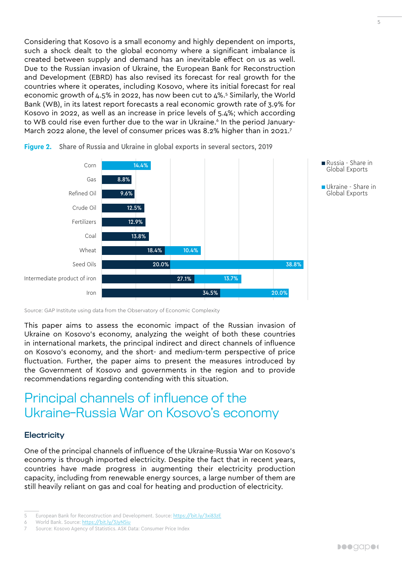<span id="page-4-0"></span>Considering that Kosovo is a small economy and highly dependent on imports, such a shock dealt to the global economy where a significant imbalance is created between supply and demand has an inevitable effect on us as well. Due to the Russian invasion of Ukraine, the European Bank for Reconstruction and Development (EBRD) has also revised its forecast for real growth for the countries where it operates, including Kosovo, where its initial forecast for real economic growth of  $4.5\%$  in 2022, has now been cut to  $4\%$ <sup>5</sup> Similarly, the World Bank (WB), in its latest report forecasts a real economic growth rate of 3.9% for Kosovo in 2022, as well as an increase in price levels of 5.4%; which according to WB could rise even further due to the war in Ukraine.<sup>6</sup> In the period January-March 2022 alone, the level of consumer prices was 8.2% higher than in 2021.<sup>7</sup>



**Figure 2.** Share of Russia and Ukraine in global exports in several sectors, 2019

Source: GAP Institute using data from the Observatory of Economic Complexity

This paper aims to assess the economic impact of the Russian invasion of Ukraine on Kosovo's economy, analyzing the weight of both these countries in international markets, the principal indirect and direct channels of influence on Kosovo's economy, and the short- and medium-term perspective of price fluctuation. Further, the paper aims to present the measures introduced by the Government of Kosovo and governments in the region and to provide recommendations regarding contending with this situation.

## Principal channels of influence of the Ukraine-Russia War on Kosovo's economy

#### **Electricity**

One of the principal channels of influence of the Ukraine-Russia War on Kosovo's economy is through imported electricity. Despite the fact that in recent years, countries have made progress in augmenting their electricity production capacity, including from renewable energy sources, a large number of them are still heavily reliant on gas and coal for heating and production of electricity.

<sup>5</sup> European Bank for Reconstruction and Development. Source: <https://bit.ly/3xi83zE>

<sup>6</sup> World Bank. Source: <https://bit.ly/3JyN5iu>

Source: Kosovo Agency of Statistics. ASK Data: Consumer Price Index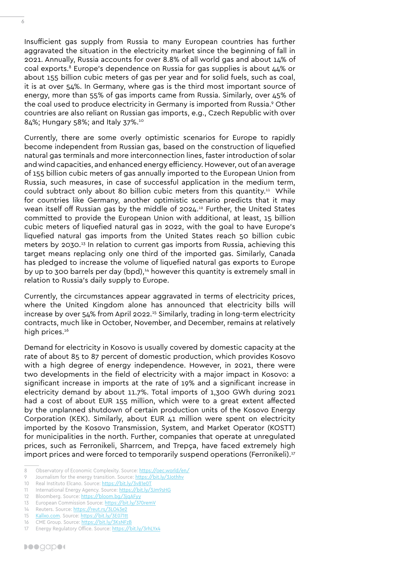6

Insufficient gas supply from Russia to many European countries has further aggravated the situation in the electricity market since the beginning of fall in 2021. Annually, Russia accounts for over 8.8% of all world gas and about 14% of coal exports.8 Europe's dependence on Russia for gas supplies is about 44% or about 155 billion cubic meters of gas per year and for solid fuels, such as coal, it is at over 54%. In Germany, where gas is the third most important source of energy, more than 55% of gas imports came from Russia. Similarly, over 45% of the coal used to produce electricity in Germany is imported from Russia.<sup>9</sup> Other countries are also reliant on Russian gas imports, e.g., Czech Republic with over 84%; Hungary 58%; and Italy 37%.10

Currently, there are some overly optimistic scenarios for Europe to rapidly become independent from Russian gas, based on the construction of liquefied natural gas terminals and more interconnection lines, faster introduction of solar and wind capacities, and enhanced energy efficiency. However, out of an average of 155 billion cubic meters of gas annually imported to the European Union from Russia, such measures, in case of successful application in the medium term, could subtract only about 80 billion cubic meters from this quantity.<sup>11</sup> While for countries like Germany, another optimistic scenario predicts that it may wean itself off Russian gas by the middle of 2024.12 Further, the United States committed to provide the European Union with additional, at least, 15 billion cubic meters of liquefied natural gas in 2022, with the goal to have Europe's liquefied natural gas imports from the United States reach 50 billion cubic meters by 2030.<sup>13</sup> In relation to current gas imports from Russia, achieving this target means replacing only one third of the imported gas. Similarly, Canada has pledged to increase the volume of liquefied natural gas exports to Europe by up to 300 barrels per day (bpd),14 however this quantity is extremely small in relation to Russia's daily supply to Europe.

Currently, the circumstances appear aggravated in terms of electricity prices, where the United Kingdom alone has announced that electricity bills will increase by over 54% from April 2022.15 Similarly, trading in long-term electricity contracts, much like in October, November, and December, remains at relatively high prices.<sup>16</sup>

Demand for electricity in Kosovo is usually covered by domestic capacity at the rate of about 85 to 87 percent of domestic production, which provides Kosovo with a high degree of energy independence. However, in 2021, there were two developments in the field of electricity with a major impact in Kosovo: a significant increase in imports at the rate of 19% and a significant increase in electricity demand by about 11.7%. Total imports of 1,300 GWh during 2021 had a cost of about EUR 155 million, which were to a great extent affected by the unplanned shutdown of certain production units of the Kosovo Energy Corporation (KEK). Similarly, about EUR 41 million were spent on electricity imported by the Kosovo Transmission, System, and Market Operator (KOSTT) for municipalities in the north. Further, companies that operate at unregulated prices, such as Ferronikeli, Sharrcem, and Trepça, have faced extremely high import prices and were forced to temporarily suspend operations (Ferronikeli).17

<sup>8</sup> Observatory of Economic Complexity. Source:<https://oec.world/en/>

<sup>9</sup> Journalism for the energy transition. Source: https://bit.ly/3Jothhy

<sup>10</sup> Real Instituto Elcano. Source:<https://bit.ly/3v81e0T>

<sup>11</sup> International Energy Agency. Source: <https://bit.ly/3Jm9sHG>

<sup>12</sup> Bloomberg. Source:<https://bloom.bg/3jqAFyy>

<sup>13</sup> European Commission Source:<https://bit.ly/370remV>

<sup>14</sup> Reuters. Source: <https://reut.rs/3LO43e2> 15 [Kallxo.com.](http://Kallxo.com) Source: <https://bit.ly/3E071tt>

<sup>16</sup> CME Group. Source: <https://bit.ly/3KsNFzB>

<sup>17</sup> Energy Regulatory Office. Source:<https://bit.ly/3rhLYx4>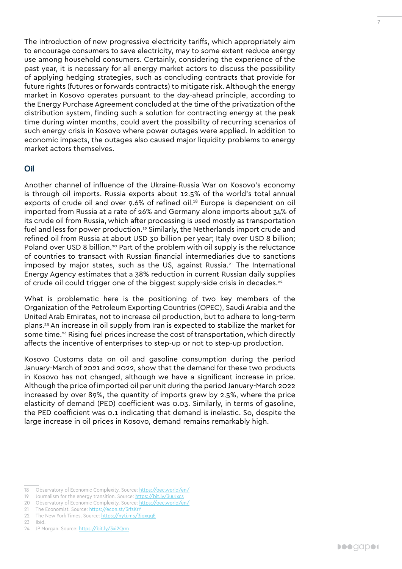The introduction of new progressive electricity tariffs, which appropriately aim to encourage consumers to save electricity, may to some extent reduce energy use among household consumers. Certainly, considering the experience of the past year, it is necessary for all energy market actors to discuss the possibility of applying hedging strategies, such as concluding contracts that provide for future rights (futures or forwards contracts) to mitigate risk. Although the energy market in Kosovo operates pursuant to the day-ahead principle, according to the Energy Purchase Agreement concluded at the time of the privatization of the distribution system, finding such a solution for contracting energy at the peak time during winter months, could avert the possibility of recurring scenarios of such energy crisis in Kosovo where power outages were applied. In addition to economic impacts, the outages also caused major liquidity problems to energy market actors themselves.

#### Oil

Another channel of influence of the Ukraine-Russia War on Kosovo's economy is through oil imports. Russia exports about 12.5% of the world's total annual exports of crude oil and over 9.6% of refined oil.<sup>18</sup> Europe is dependent on oil imported from Russia at a rate of 26% and Germany alone imports about 34% of its crude oil from Russia, which after processing is used mostly as transportation fuel and less for power production.<sup>19</sup> Similarly, the Netherlands import crude and refined oil from Russia at about USD 30 billion per year; Italy over USD 8 billion; Poland over USD 8 billion.<sup>20</sup> Part of the problem with oil supply is the reluctance of countries to transact with Russian financial intermediaries due to sanctions imposed by major states, such as the US, against Russia.<sup>21</sup> The International Energy Agency estimates that a 38% reduction in current Russian daily supplies of crude oil could trigger one of the biggest supply-side crisis in decades.22

What is problematic here is the positioning of two key members of the Organization of the Petroleum Exporting Countries (OPEC), Saudi Arabia and the United Arab Emirates, not to increase oil production, but to adhere to long-term plans.23 An increase in oil supply from Iran is expected to stabilize the market for some time.<sup>24</sup> Rising fuel prices increase the cost of transportation, which directly affects the incentive of enterprises to step-up or not to step-up production.

Kosovo Customs data on oil and gasoline consumption during the period January-March of 2021 and 2022, show that the demand for these two products in Kosovo has not changed, although we have a significant increase in price. Although the price of imported oil per unit during the period January-March 2022 increased by over 89%, the quantity of imports grew by 2.5%, where the price elasticity of demand (PED) coefficient was 0.03. Similarly, in terms of gasoline, the PED coefficient was 0.1 indicating that demand is inelastic. So, despite the large increase in oil prices in Kosovo, demand remains remarkably high.

- 20 Observatory of Economic Complexity. Source:<https://oec.world/en/>
- 21 The Economist. Source:<https://econ.st/3rfsKrY>
- 22 The New York Times. Source:<https://nyti.ms/3jqxqqE>
- 23 Ibid.

<sup>18</sup> Observatory of Economic Complexity. Source:<https://oec.world/en/>

<sup>19</sup> Journalism for the energy transition. Source: <https://bit.ly/3uuJxcs>

<sup>24</sup> JP Morgan. Source:<https://bit.ly/3xi2Qrm>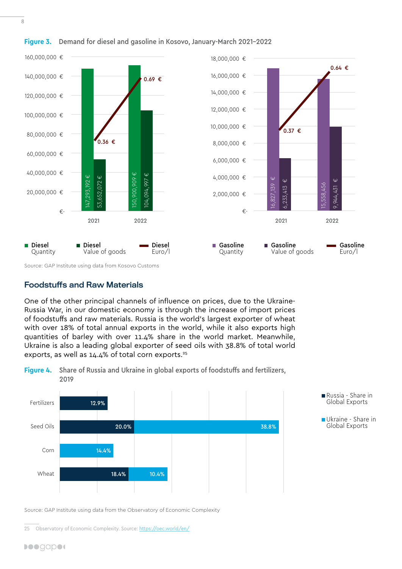

#### **Figure 3.** Demand for diesel and gasoline in Kosovo, January-March 2021-2022

Source: GAP Institute using data from Kosovo Customs

#### Foodstuffs and Raw Materials

One of the other principal channels of influence on prices, due to the Ukraine-Russia War, in our domestic economy is through the increase of import prices of foodstuffs and raw materials. Russia is the world's largest exporter of wheat with over 18% of total annual exports in the world, while it also exports high quantities of barley with over 11.4% share in the world market. Meanwhile, Ukraine is also a leading global exporter of seed oils with 38.8% of total world exports, as well as 14.4% of total corn exports.<sup>25</sup>

#### **Figure 4.** Share of Russia and Ukraine in global exports of foodstuffs and fertilizers, 2019





Ukraine - Share in Global Exports

Source: GAP Institute using data from the Observatory of Economic Complexity

<sup>25</sup> Observatory of Economic Complexity. Source:<https://oec.world/en/>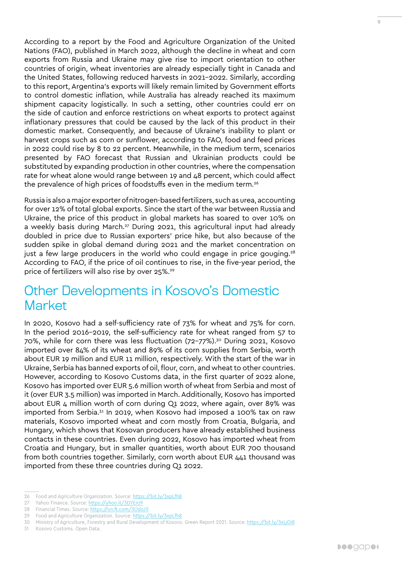<span id="page-8-0"></span>According to a report by the Food and Agriculture Organization of the United Nations (FAO), published in March 2022, although the decline in wheat and corn exports from Russia and Ukraine may give rise to import orientation to other countries of origin, wheat inventories are already especially tight in Canada and the United States, following reduced harvests in 2021-2022. Similarly, according to this report, Argentina's exports will likely remain limited by Government efforts to control domestic inflation, while Australia has already reached its maximum shipment capacity logistically. In such a setting, other countries could err on the side of caution and enforce restrictions on wheat exports to protect against inflationary pressures that could be caused by the lack of this product in their domestic market. Consequently, and because of Ukraine's inability to plant or harvest crops such as corn or sunflower, according to FAO, food and feed prices in 2022 could rise by 8 to 22 percent. Meanwhile, in the medium term, scenarios presented by FAO forecast that Russian and Ukrainian products could be substituted by expanding production in other countries, where the compensation rate for wheat alone would range between 19 and 48 percent, which could affect the prevalence of high prices of foodstuffs even in the medium term.<sup>26</sup>

Russia is also a major exporter of nitrogen-based fertilizers, such as urea, accounting for over 12% of total global exports. Since the start of the war between Russia and Ukraine, the price of this product in global markets has soared to over 10% on a weekly basis during March.27 During 2021, this agricultural input had already doubled in price due to Russian exporters' price hike, but also because of the sudden spike in global demand during 2021 and the market concentration on just a few large producers in the world who could engage in price gouging.<sup>28</sup> According to FAO, if the price of oil continues to rise, in the five-year period, the price of fertilizers will also rise by over 25%.<sup>29</sup>

### Other Developments in Kosovo's Domestic **Market**

In 2020, Kosovo had a self-sufficiency rate of 73% for wheat and 75% for corn. In the period 2016-2019, the self-sufficiency rate for wheat ranged from 57 to 70%, while for corn there was less fluctuation (72-77%).30 During 2021, Kosovo imported over 84% of its wheat and 89% of its corn supplies from Serbia, worth about EUR 19 million and EUR 11 million, respectively. With the start of the war in Ukraine, Serbia has banned exports of oil, flour, corn, and wheat to other countries. However, according to Kosovo Customs data, in the first quarter of 2022 alone, Kosovo has imported over EUR 5.6 million worth of wheat from Serbia and most of it (over EUR 3.5 million) was imported in March. Additionally, Kosovo has imported about EUR  $\Delta$  million worth of corn during Q1 2022, where again, over 89% was imported from Serbia.31 In 2019, when Kosovo had imposed a 100% tax on raw materials, Kosovo imported wheat and corn mostly from Croatia, Bulgaria, and Hungary, which shows that Kosovan producers have already established business contacts in these countries. Even during 2022, Kosovo has imported wheat from Croatia and Hungary, but in smaller quantities, worth about EUR 700 thousand from both countries together. Similarly, corn worth about EUR 441 thousand was imported from these three countries during Q1 2022.

31 Kosovo Customs. Open Data.

<sup>26</sup> Food and Agriculture Organization. Source: <https://bit.ly/3xpLfh8>

<sup>27</sup> Yahoo Finance. Source:<https://yhoo.it/3DYEnJ9>

<sup>28</sup> Financial Times. Source: <https://on.ft.com/3OdoJ1l>

<sup>29</sup> Food and Agriculture Organization. Source: <https://bit.ly/3xpLfh8>

<sup>30</sup> Ministry of Agriculture, Forestry and Rural Development of Kosovo. Green Report 2021. Source: <https://bit.ly/3xLjOi8>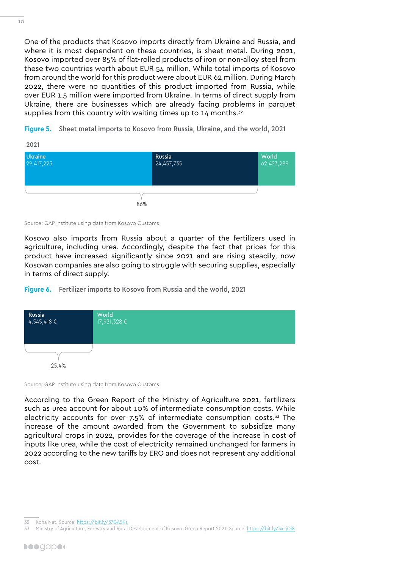One of the products that Kosovo imports directly from Ukraine and Russia, and where it is most dependent on these countries, is sheet metal. During 2021, Kosovo imported over 85% of flat-rolled products of iron or non-alloy steel from these two countries worth about EUR 54 million. While total imports of Kosovo from around the world for this product were about EUR 62 million. During March 2022, there were no quantities of this product imported from Russia, while over EUR 1.5 million were imported from Ukraine. In terms of direct supply from Ukraine, there are businesses which are already facing problems in parquet supplies from this country with waiting times up to  $14$  months.<sup>32</sup>

**Figure 5.** Sheet metal imports to Kosovo from Russia, Ukraine, and the world, 2021



Source: GAP Institute using data from Kosovo Customs

Kosovo also imports from Russia about a quarter of the fertilizers used in agriculture, including urea. Accordingly, despite the fact that prices for this product have increased significantly since 2021 and are rising steadily, now Kosovan companies are also going to struggle with securing supplies, especially in terms of direct supply.

**Figure 6.** Fertilizer imports to Kosovo from Russia and the world, 2021



Source: GAP Institute using data from Kosovo Customs

According to the Green Report of the Ministry of Agriculture 2021, fertilizers such as urea account for about 10% of intermediate consumption costs. While electricity accounts for over 7.5% of intermediate consumption costs.33 The increase of the amount awarded from the Government to subsidize many agricultural crops in 2022, provides for the coverage of the increase in cost of inputs like urea, while the cost of electricity remained unchanged for farmers in 2022 according to the new tariffs by ERO and does not represent any additional cost.

<sup>32</sup> Koha Net. Source:<https://bit.ly/37GA5Ks>

Ministry of Agriculture, Forestry and Rural Development of Kosovo. Green Report 2021. Source: <https://bit.ly/3xLjOi8>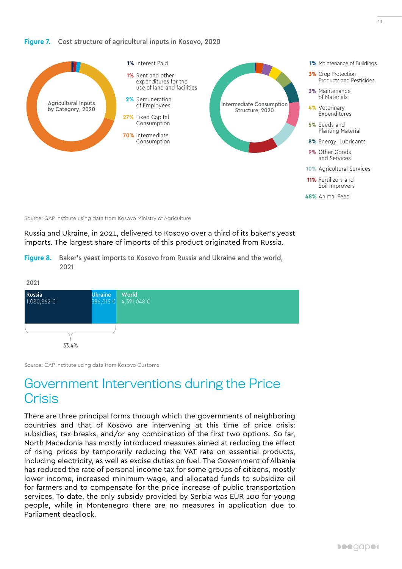#### <span id="page-10-0"></span>**Figure 7.** Cost structure of agricultural inputs in Kosovo, 2020



Source: GAP Institute using data from Kosovo Ministry of Agriculture

Russia and Ukraine, in 2021, delivered to Kosovo over a third of its baker's yeast imports. The largest share of imports of this product originated from Russia.

**Figure 8.** Baker's yeast imports to Kosovo from Russia and Ukraine and the world, 2021



Source: GAP Institute using data from Kosovo Customs

### Government Interventions during the Price **Crisis**

There are three principal forms through which the governments of neighboring countries and that of Kosovo are intervening at this time of price crisis: subsidies, tax breaks, and/or any combination of the first two options. So far, North Macedonia has mostly introduced measures aimed at reducing the effect of rising prices by temporarily reducing the VAT rate on essential products, including electricity, as well as excise duties on fuel. The Government of Albania has reduced the rate of personal income tax for some groups of citizens, mostly lower income, increased minimum wage, and allocated funds to subsidize oil for farmers and to compensate for the price increase of public transportation services. To date, the only subsidy provided by Serbia was EUR 100 for young people, while in Montenegro there are no measures in application due to Parliament deadlock.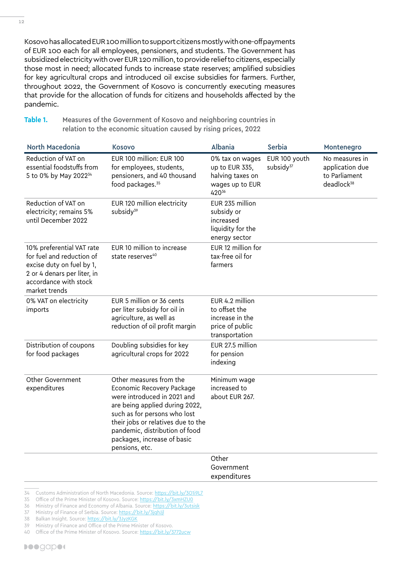Kosovo has allocated EUR 100 million to support citizens mostly with one-off payments of EUR 100 each for all employees, pensioners, and students. The Government has subsidized electricity with over EUR 120 million, to provide relief to citizens, especially those most in need; allocated funds to increase state reserves; amplified subsidies for key agricultural crops and introduced oil excise subsidies for farmers. Further, throughout 2022, the Government of Kosovo is concurrently executing measures that provide for the allocation of funds for citizens and households affected by the pandemic.

Table 1. Measures of the Government of Kosovo and neighboring countries in relation to the economic situation caused by rising prices, 2022

| <b>North Macedonia</b>                                                                                                                                       | <b>Kosovo</b>                                                                                                                                                                                                                                                                  | Albania                                                                                  | <b>Serbia</b>                          | Montenegro                                                                   |
|--------------------------------------------------------------------------------------------------------------------------------------------------------------|--------------------------------------------------------------------------------------------------------------------------------------------------------------------------------------------------------------------------------------------------------------------------------|------------------------------------------------------------------------------------------|----------------------------------------|------------------------------------------------------------------------------|
| Reduction of VAT on<br>essential foodstuffs from<br>5 to 0% by May 2022 <sup>34</sup>                                                                        | EUR 100 million: EUR 100<br>for employees, students,<br>pensioners, and 40 thousand<br>food packages. <sup>35</sup>                                                                                                                                                            | 0% tax on wages<br>up to EUR 335,<br>halving taxes on<br>wages up to EUR<br>42036        | EUR 100 youth<br>subsidy <sup>37</sup> | No measures in<br>application due<br>to Parliament<br>deadlock <sup>38</sup> |
| Reduction of VAT on<br>electricity; remains 5%<br>until December 2022                                                                                        | EUR 120 million electricity<br>subsidy <sup>39</sup>                                                                                                                                                                                                                           | EUR 235 million<br>subsidy or<br>increased<br>liquidity for the<br>energy sector         |                                        |                                                                              |
| 10% preferential VAT rate<br>for fuel and reduction of<br>excise duty on fuel by 1,<br>2 or 4 denars per liter, in<br>accordance with stock<br>market trends | EUR 10 million to increase<br>state reserves <sup>40</sup>                                                                                                                                                                                                                     | EUR 12 million for<br>tax-free oil for<br>farmers                                        |                                        |                                                                              |
| 0% VAT on electricity<br>imports                                                                                                                             | EUR 5 million or 36 cents<br>per liter subsidy for oil in<br>agriculture, as well as<br>reduction of oil profit margin                                                                                                                                                         | EUR 4.2 million<br>to offset the<br>increase in the<br>price of public<br>transportation |                                        |                                                                              |
| Distribution of coupons<br>for food packages                                                                                                                 | Doubling subsidies for key<br>agricultural crops for 2022                                                                                                                                                                                                                      | EUR 27.5 million<br>for pension<br>indexing                                              |                                        |                                                                              |
| Other Government<br>expenditures                                                                                                                             | Other measures from the<br>Economic Recovery Package<br>were introduced in 2021 and<br>are being applied during 2022,<br>such as for persons who lost<br>their jobs or relatives due to the<br>pandemic, distribution of food<br>packages, increase of basic<br>pensions, etc. | Minimum wage<br>increased to<br>about EUR 267.                                           |                                        |                                                                              |
|                                                                                                                                                              |                                                                                                                                                                                                                                                                                | Other<br>Government<br>expenditures                                                      |                                        |                                                                              |

- 36 Ministry of Finance and Economy of Albania. Source: <https://bit.ly/3utsisk>
- 37 Ministry of Finance of Serbia. Source:<https://bit.ly/3jqhJjl>
- 38 Balkan Insight. Source: <https://bit.ly/3JyzKGK>

40 Office of the Prime Minister of Kosovo. Source:<https://bit.ly/3772ucw>

<sup>35</sup> Office of the Prime Minister of Kosovo. Source:<https://bit.ly/3xmHZU0>

<sup>39</sup> Ministry of Finance and Office of the Prime Minister of Kosovo.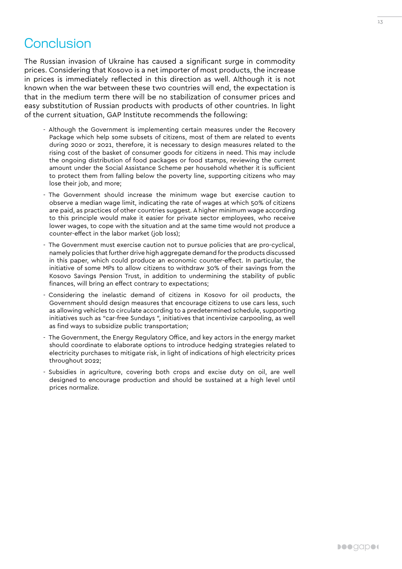<span id="page-12-0"></span>The Russian invasion of Ukraine has caused a significant surge in commodity prices. Considering that Kosovo is a net importer of most products, the increase in prices is immediately reflected in this direction as well. Although it is not known when the war between these two countries will end, the expectation is that in the medium term there will be no stabilization of consumer prices and easy substitution of Russian products with products of other countries. In light of the current situation, GAP Institute recommends the following:

- Although the Government is implementing certain measures under the Recovery Package which help some subsets of citizens, most of them are related to events during 2020 or 2021, therefore, it is necessary to design measures related to the rising cost of the basket of consumer goods for citizens in need. This may include the ongoing distribution of food packages or food stamps, reviewing the current amount under the Social Assistance Scheme per household whether it is sufficient to protect them from falling below the poverty line, supporting citizens who may lose their job, and more;
- The Government should increase the minimum wage but exercise caution to observe a median wage limit, indicating the rate of wages at which 50% of citizens are paid, as practices of other countries suggest. A higher minimum wage according to this principle would make it easier for private sector employees, who receive lower wages, to cope with the situation and at the same time would not produce a counter-effect in the labor market (job loss);
- The Government must exercise caution not to pursue policies that are pro-cyclical, namely policies that further drive high aggregate demand for the products discussed in this paper, which could produce an economic counter-effect. In particular, the initiative of some MPs to allow citizens to withdraw 30% of their savings from the Kosovo Savings Pension Trust, in addition to undermining the stability of public finances, will bring an effect contrary to expectations;
- Considering the inelastic demand of citizens in Kosovo for oil products, the Government should design measures that encourage citizens to use cars less, such as allowing vehicles to circulate according to a predetermined schedule, supporting initiatives such as "car-free Sundays ", initiatives that incentivize carpooling, as well as find ways to subsidize public transportation;
- The Government, the Energy Regulatory Office, and key actors in the energy market should coordinate to elaborate options to introduce hedging strategies related to electricity purchases to mitigate risk, in light of indications of high electricity prices throughout 2022;
- Subsidies in agriculture, covering both crops and excise duty on oil, are well designed to encourage production and should be sustained at a high level until prices normalize.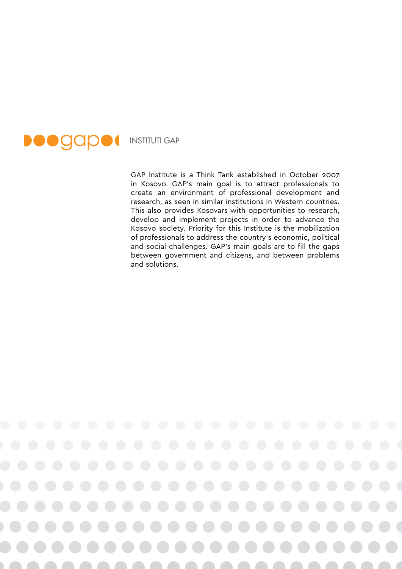

GAP Institute is a Think Tank established in October 2007 in Kosovo. GAP's main goal is to attract professionals to create an environment of professional development and research, as seen in similar institutions in Western countries. This also provides Kosovars with opportunities to research, develop and implement projects in order to advance the Kosovo society. Priority for this Institute is the mobilization of professionals to address the country's economic, political and social challenges. GAP's main goals are to fill the gaps between government and citizens, and between problems and solutions.

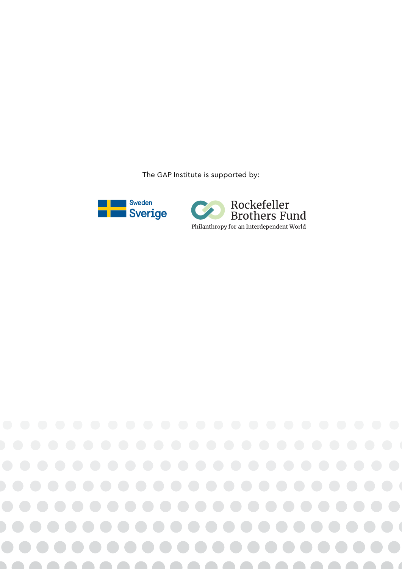The GAP Institute is supported by: